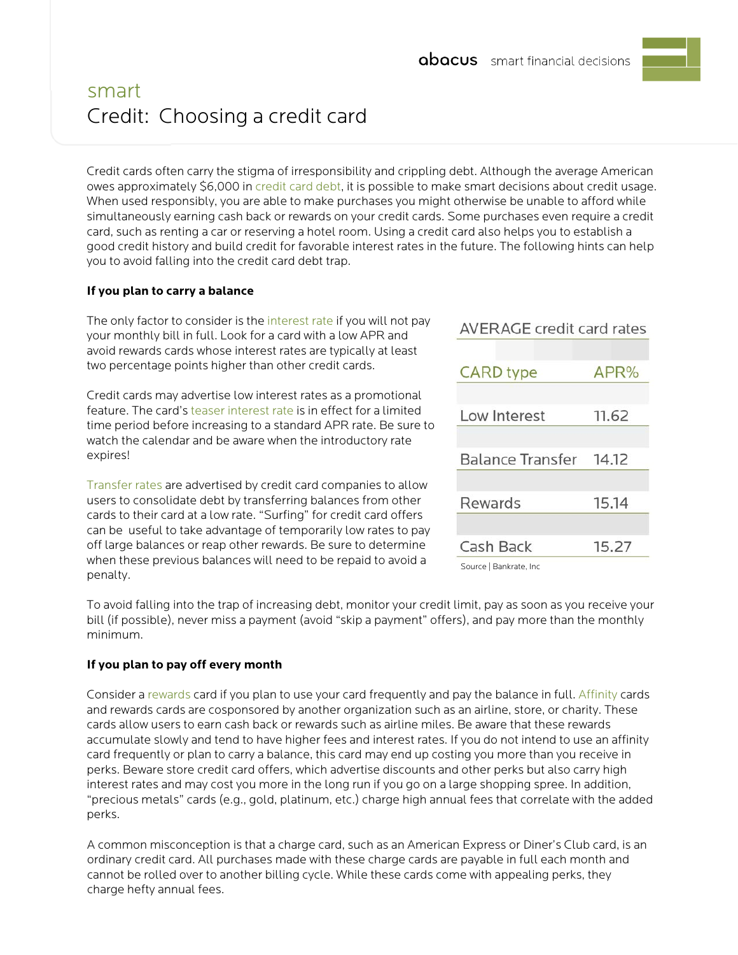

# smart Credit: Choosing a credit card

Credit cards often carry the stigma of irresponsibility and crippling debt. Although the average American owes approximately \$6,000 in [credit card debt,](http://www.consolidatedcredit.org/credit-card-debt/consumer-debt-facts/%23back) it is possible to make smart decisions about credit usage. When used responsibly, you are able to make purchases you might otherwise be unable to afford while simultaneously earning cash back or rewards on your credit cards. Some purchases even require a credit card, such as renting a car or reserving a hotel room. Using a credit card also helps you to establish a good credit history and build credit for favorable interest rates in the future. The following hints can help you to avoid falling into the credit card debt trap.

## **If you plan to carry a balance**

The only factor to consider is the [interest rate](http://www.indexcreditcards.com/creditcardlist.html) if you will not pay your monthly bill in full. Look for a card with a low APR and avoid rewards cards whose interest rates are typically at least two percentage points higher than other credit cards.

Credit cards may advertise low interest rates as a promotional feature. The card'[s teaser interest rate](http://www.bankrate.com/finance/video/credit-debt/what-is-teaser-rate.aspx) is in effect for a limited time period before increasing to a standard APR rate. Be sure to watch the calendar and be aware when the introductory rate expires!

[Transfer rates](https://www.creditkarma.com/shop/creditcards/balance_transfer) are advertised by credit card companies to allow users to consolidate debt by transferring balances from other cards to their card at a low rate. "Surfing" for credit card offers can be useful to take advantage of temporarily low rates to pay off large balances or reap other rewards. Be sure to determine when these previous balances will need to be repaid to avoid a penalty.

| <b>AVERAGE credit card rates</b> |       |
|----------------------------------|-------|
|                                  |       |
| <b>CARD</b> type                 | APR%  |
|                                  |       |
| Low Interest                     | 11.62 |
|                                  |       |
| Balance Transfer 14.12           |       |
|                                  |       |
| Rewards                          | 15.14 |
|                                  |       |
| Cash Back                        | 15.27 |
|                                  |       |

Source | Bankrate, Inc

To avoid falling into the trap of increasing debt, monitor your credit limit, pay as soon as you receive your bill (if possible), never miss a payment (avoid "skip a payment" offers), and pay more than the monthly minimum.

### **If you plan to pay off every month**

Consider a [rewards](https://www.creditkarma.com/shop/creditcards/reward_cards) card if you plan to use your card frequently and pay the balance in full. [Affinity](http://www.bankrate.com/finance/credit-cards/spend-for-the-cause-with-affinity-cards-1.aspx) cards and rewards cards are cosponsored by another organization such as an airline, store, or charity. These cards allow users to earn cash back or rewards such as airline miles. Be aware that these rewards accumulate slowly and tend to have higher fees and interest rates. If you do not intend to use an affinity card frequently or plan to carry a balance, this card may end up costing you more than you receive in perks. Beware store credit card offers, which advertise discounts and other perks but also carry high interest rates and may cost you more in the long run if you go on a large shopping spree. In addition, "precious metals" cards (e.g., gold, platinum, etc.) charge high annual fees that correlate with the added perks.

A common misconception is that a charge card, such as an American Express or Diner's Club card, is an ordinary credit card. All purchases made with these charge cards are payable in full each month and cannot be rolled over to another billing cycle. While these cards come with appealing perks, they charge hefty annual fees.